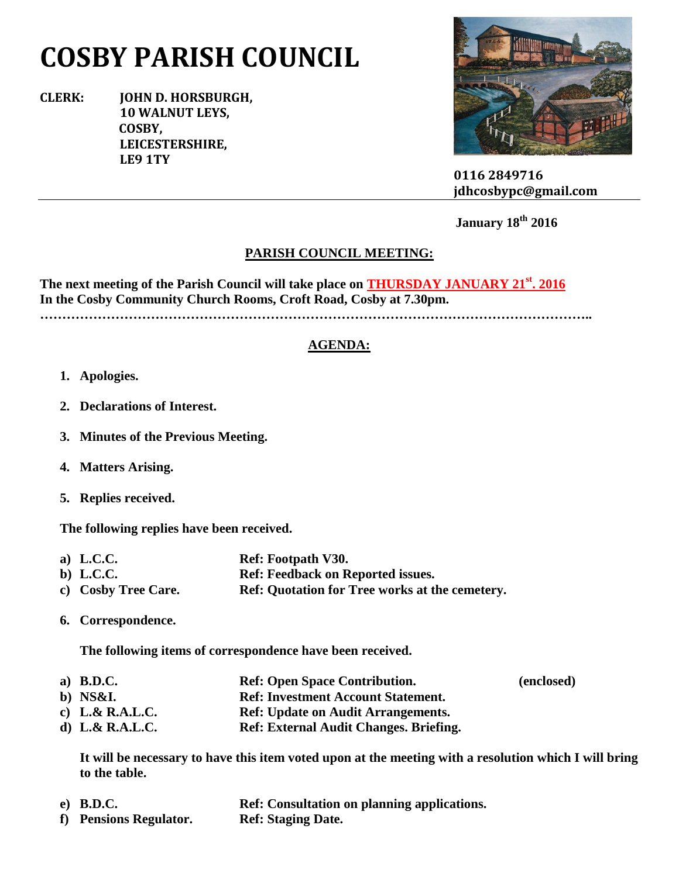## **COSBY PARISH COUNCIL**

**CLERK: JOHN D. HORSBURGH, 10 WALNUT LEYS, COSBY, LEICESTERSHIRE, LE9 1TY**



 **0116 2849716 jdhcosbypc@gmail.com**

 **January 18th 2016**

## **PARISH COUNCIL MEETING:**

**The next meeting of the Parish Council will take place on THURSDAY JANUARY 21st. 2016 In the Cosby Community Church Rooms, Croft Road, Cosby at 7.30pm.**

**……………………………………………………………………………………………………………..**

## **AGENDA:**

- **1. Apologies.**
- **2. Declarations of Interest.**
- **3. Minutes of the Previous Meeting.**
- **4. Matters Arising.**
- **5. Replies received.**

**The following replies have been received.**

| a) L.C.C.           | Ref: Footpath V30.                                    |
|---------------------|-------------------------------------------------------|
| b) L.C.C.           | <b>Ref: Feedback on Reported issues.</b>              |
| c) Cosby Tree Care. | <b>Ref: Quotation for Tree works at the cemetery.</b> |

**6. Correspondence.**

**The following items of correspondence have been received.**

**a) B.D.C. Ref: Open Space Contribution. (enclosed) b) NS&I. Ref: Investment Account Statement. c) L.& R.A.L.C. Ref: Update on Audit Arrangements. d) L.& R.A.L.C. Ref: External Audit Changes. Briefing.**

**It will be necessary to have this item voted upon at the meeting with a resolution which I will bring to the table.**

**e) B.D.C. Ref: Consultation on planning applications. f) Pensions Regulator. Ref: Staging Date.**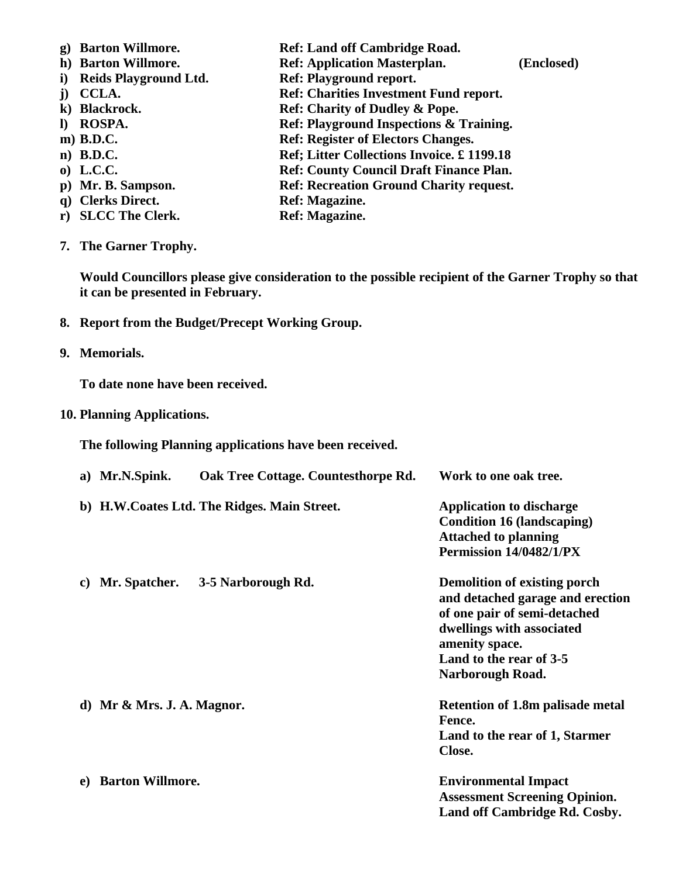- **g) Barton Willmore. Ref: Land off Cambridge Road. h) Barton Willmore. Ref: Application Masterplan. (Enclosed) i) Reids Playground Ltd. Ref: Playground report. j) CCLA. Ref: Charities Investment Fund report. k) Blackrock. Ref: Charity of Dudley & Pope. l) ROSPA. Ref: Playground Inspections & Training. m**) **B.D.C. Ref: Register of Electors Changes. n) B.D.C. Ref; Litter Collections Invoice. £ 1199.18 o) L.C.C. Ref: County Council Draft Finance Plan. p) Mr. B. Sampson. Ref: Recreation Ground Charity request. q) Clerks Direct. Ref: Magazine. r) SLCC The Clerk. Ref: Magazine.**
- **7. The Garner Trophy.**

**Would Councillors please give consideration to the possible recipient of the Garner Trophy so that it can be presented in February.**

- **8. Report from the Budget/Precept Working Group.**
- **9. Memorials.**

**To date none have been received.**

**10. Planning Applications.**

**The following Planning applications have been received.**

|    | a) Mr.N.Spink.                | Oak Tree Cottage. Countesthorpe Rd.         | Work to one oak tree.                                                                                                                                                                                 |
|----|-------------------------------|---------------------------------------------|-------------------------------------------------------------------------------------------------------------------------------------------------------------------------------------------------------|
|    |                               | b) H.W.Coates Ltd. The Ridges. Main Street. | <b>Application to discharge</b><br><b>Condition 16 (landscaping)</b><br><b>Attached to planning</b><br>Permission 14/0482/1/PX                                                                        |
| C) | Mr. Spatcher.                 | 3-5 Narborough Rd.                          | <b>Demolition of existing porch</b><br>and detached garage and erection<br>of one pair of semi-detached<br>dwellings with associated<br>amenity space.<br>Land to the rear of 3-5<br>Narborough Road. |
|    | d) Mr $\&$ Mrs. J. A. Magnor. |                                             | <b>Retention of 1.8m palisade metal</b><br>Fence.<br>Land to the rear of 1, Starmer<br>Close.                                                                                                         |
| e) | <b>Barton Willmore.</b>       |                                             | <b>Environmental Impact</b><br><b>Assessment Screening Opinion.</b><br>Land off Cambridge Rd. Cosby.                                                                                                  |